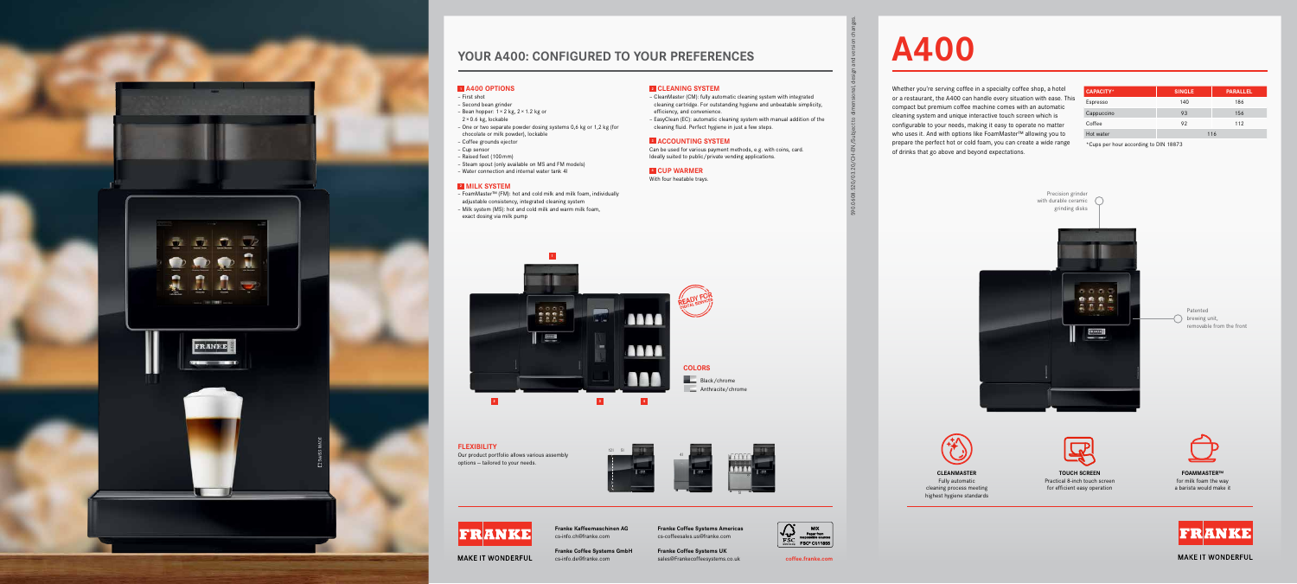590.0608.520/03.20/CH-EN/Subject to dimensional, design and version changes.

# **A400**

Whether you're serving coffee in a specialty coffee shop, a hotel or a restaurant, the A400 can handle every situation with ease. This compact but premium coffee machine comes with an automatic cleaning system and unique interactive touch screen which is configurable to your needs, making it easy to operate no matter who uses it. And with options like FoamMaster™ allowing you to prepare the perfect hot or cold foam, you can create a wide range of drinks that go above and beyond expectations.

| <b>CAPACITY*</b> | <b>SINGLE</b> | <b>PARALLEL</b> |
|------------------|---------------|-----------------|
| Espresso         | 140           | 186             |
| Cappuccino       | 93            | 156             |
| Coffee           | 92            | 112             |
| Hot water        | 116           |                 |

\*Cups per hour according to DIN 18873



# **YOUR A400: CONFIGURED TO YOUR PREFERENCES**

**Franke Coffee Systems Americas** cs-coffeesales.us@franke.com

**MAKE IT WONDERFUL** 

**Franke Coffee Systems UK**



sales@Frankecoffeesystems.co.uk cs-info.de@franke.com **coffee.franke.com Franke Coffee Systems GmbH**

**Franke Kaffeemaschinen AG** cs-info.ch@franke.com

# **1 A400 OPTIONS**

**FLEXIBILITY**<br>Our product portfolio allows various assembly the state of the state of the state of the state of the state of Our product portfolio allows various assembly options — tailored to your needs.





- First shot
- Second bean grinder
- Bean hopper:  $1 \times 2$  kg,  $2 \times 1.2$  kg or
- 2×0.6 kg, lockable
- One or two separate powder dosing systems 0,6 kg or 1,2 kg (for chocolate or milk powder), lockable
- Coffee grounds ejector
- Cup sensor
- Raised feet (100mm)
- Steam spout (only available on MS and FM models)
- Water connection and internal water tank 4l

# **2 MILK SYSTEM**





**MAKE IT WONDERFUL** 

- FoamMaster™ (FM): hot and cold milk and milk foam, individually adjustable consistency, integrated cleaning system
- Milk system (MS): hot and cold milk and warm milk foam, exact dosing via milk pump

# **2 CLEANING SYSTEM**

– CleanMaster (CM): fully automatic cleaning system with integrated cleaning cartridge. For outstanding hygiene and unbeatable simplicity, efficiency, and convenience.

– EasyClean (EC): automatic cleaning system with manual addition of the cleaning fluid. Perfect hygiene in just a few steps.

# **3 ACCOUNTING SYSTEM**

Can be used for various payment methods, e.g. with coins, card. Ideally suited to public/private vending applications.

# **4 CUP WARMER**

With four heatable trays.







Black/chrome Anthracite/chrome



highest hygiene standards